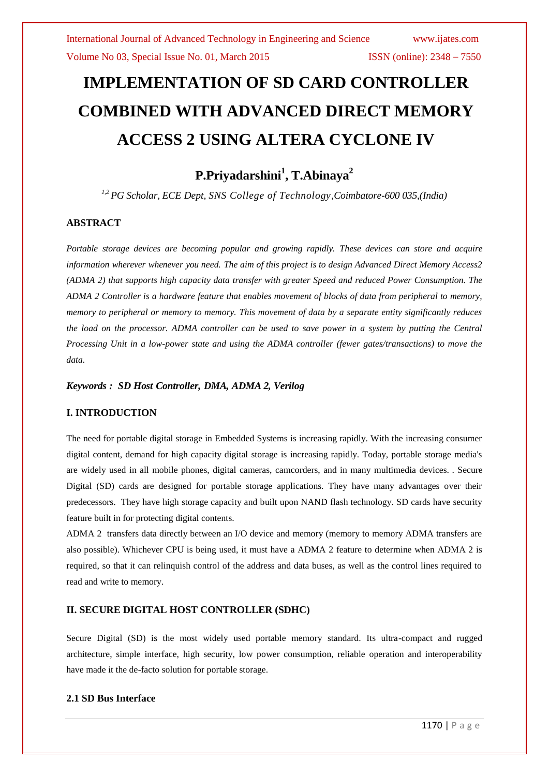# **IMPLEMENTATION OF SD CARD CONTROLLER COMBINED WITH ADVANCED DIRECT MEMORY ACCESS 2 USING ALTERA CYCLONE IV**

**P.Priyadarshini<sup>1</sup> , T.Abinaya<sup>2</sup>**

*1,2PG Scholar, ECE Dept, SNS College of Technology,Coimbatore-600 035,(India)*

#### **ABSTRACT**

*Portable storage devices are becoming popular and growing rapidly. These devices can store and acquire information wherever whenever you need. The aim of this project is to design Advanced Direct Memory Access2 (ADMA 2) that supports high capacity data transfer with greater Speed and reduced Power Consumption. The ADMA 2 Controller is a hardware feature that enables movement of blocks of data from peripheral to memory, memory to peripheral or memory to memory. This movement of data by a separate entity significantly reduces the load on the processor. ADMA controller can be used to save power in a system by putting the Central Processing Unit in a low-power state and using the ADMA controller (fewer gates/transactions) to move the data.*

*Keywords : SD Host Controller, DMA, ADMA 2, Verilog*

#### **I. INTRODUCTION**

The need for portable digital storage in Embedded Systems is increasing rapidly. With the increasing consumer digital content, demand for high capacity digital storage is increasing rapidly. Today, portable storage media's are widely used in all mobile phones, digital cameras, camcorders, and in many multimedia devices. . Secure Digital (SD) cards are designed for portable storage applications. They have many advantages over their predecessors. They have high storage capacity and built upon NAND flash technology. SD cards have security feature built in for protecting digital contents.

ADMA 2 transfers data directly between an I/O device and memory (memory to memory ADMA transfers are also possible). Whichever CPU is being used, it must have a ADMA 2 feature to determine when ADMA 2 is required, so that it can relinquish control of the address and data buses, as well as the control lines required to read and write to memory.

#### **II. SECURE DIGITAL HOST CONTROLLER (SDHC)**

Secure Digital (SD) is the most widely used portable memory standard. Its ultra-compact and rugged architecture, simple interface, high security, low power consumption, reliable operation and interoperability have made it the de-facto solution for portable storage.

#### **2.1 SD Bus Interface**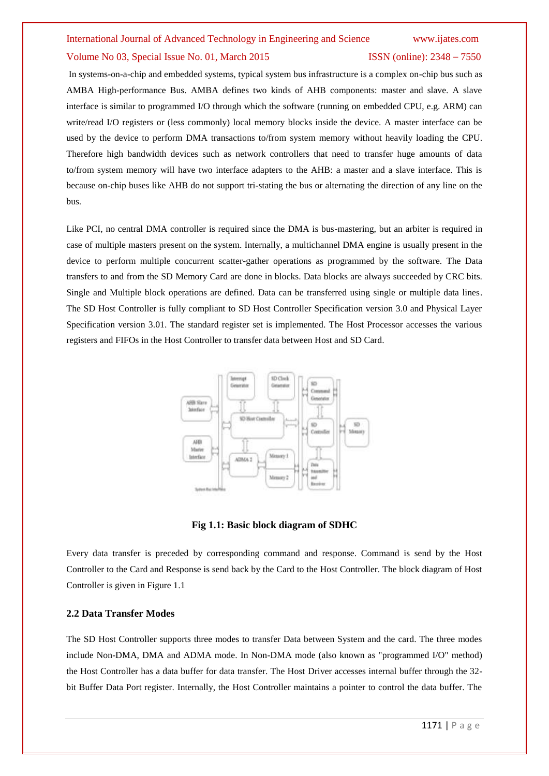In systems-on-a-chip and embedded systems, typical system bus infrastructure is a complex on-chip bus such as AMBA High-performance Bus. AMBA defines two kinds of AHB components: master and slave. A slave interface is similar to programmed I/O through which the software (running on embedded CPU, e.g. ARM) can write/read I/O registers or (less commonly) local memory blocks inside the device. A master interface can be used by the device to perform DMA transactions to/from system memory without heavily loading the CPU. Therefore high bandwidth devices such as network controllers that need to transfer huge amounts of data to/from system memory will have two interface adapters to the AHB: a master and a slave interface. This is because on-chip buses like AHB do not support tri-stating the bus or alternating the direction of any line on the bus.

Like PCI, no central DMA controller is required since the DMA is bus-mastering, but an arbiter is required in case of multiple masters present on the system. Internally, a multichannel DMA engine is usually present in the device to perform multiple concurrent scatter-gather operations as programmed by the software. The Data transfers to and from the SD Memory Card are done in blocks. Data blocks are always succeeded by CRC bits. Single and Multiple block operations are defined. Data can be transferred using single or multiple data lines. The SD Host Controller is fully compliant to SD Host Controller Specification version 3.0 and Physical Layer Specification version 3.01. The standard register set is implemented. The Host Processor accesses the various registers and FIFOs in the Host Controller to transfer data between Host and SD Card.



**Fig 1.1: Basic block diagram of SDHC**

Every data transfer is preceded by corresponding command and response. Command is send by the Host Controller to the Card and Response is send back by the Card to the Host Controller. The block diagram of Host Controller is given in Figure 1.1

#### **2.2 Data Transfer Modes**

The SD Host Controller supports three modes to transfer Data between System and the card. The three modes include Non-DMA, DMA and ADMA mode. In Non-DMA mode (also known as "programmed I/O" method) the Host Controller has a data buffer for data transfer. The Host Driver accesses internal buffer through the 32 bit Buffer Data Port register. Internally, the Host Controller maintains a pointer to control the data buffer. The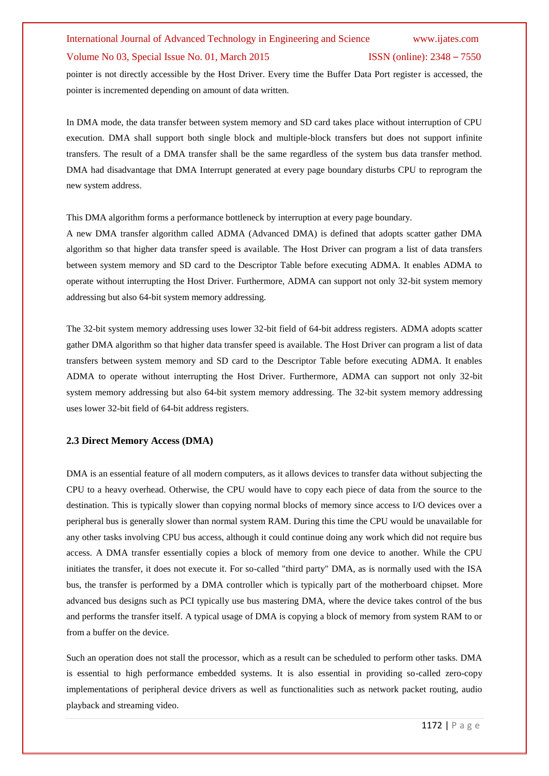pointer is not directly accessible by the Host Driver. Every time the Buffer Data Port register is accessed, the pointer is incremented depending on amount of data written.

In DMA mode, the data transfer between system memory and SD card takes place without interruption of CPU execution. DMA shall support both single block and multiple-block transfers but does not support infinite transfers. The result of a DMA transfer shall be the same regardless of the system bus data transfer method. DMA had disadvantage that DMA Interrupt generated at every page boundary disturbs CPU to reprogram the new system address.

This DMA algorithm forms a performance bottleneck by interruption at every page boundary.

A new DMA transfer algorithm called ADMA (Advanced DMA) is defined that adopts scatter gather DMA algorithm so that higher data transfer speed is available. The Host Driver can program a list of data transfers between system memory and SD card to the Descriptor Table before executing ADMA. It enables ADMA to operate without interrupting the Host Driver. Furthermore, ADMA can support not only 32-bit system memory addressing but also 64-bit system memory addressing.

The 32-bit system memory addressing uses lower 32-bit field of 64-bit address registers. ADMA adopts scatter gather DMA algorithm so that higher data transfer speed is available. The Host Driver can program a list of data transfers between system memory and SD card to the Descriptor Table before executing ADMA. It enables ADMA to operate without interrupting the Host Driver. Furthermore, ADMA can support not only 32-bit system memory addressing but also 64-bit system memory addressing. The 32-bit system memory addressing uses lower 32-bit field of 64-bit address registers.

#### **2.3 Direct Memory Access (DMA)**

DMA is an essential feature of all modern computers, as it allows devices to transfer data without subjecting the CPU to a heavy overhead. Otherwise, the CPU would have to copy each piece of data from the source to the destination. This is typically slower than copying normal blocks of memory since access to I/O devices over a peripheral bus is generally slower than normal system RAM. During this time the CPU would be unavailable for any other tasks involving CPU bus access, although it could continue doing any work which did not require bus access. A DMA transfer essentially copies a block of memory from one device to another. While the CPU initiates the transfer, it does not execute it. For so-called "third party" DMA, as is normally used with the ISA bus, the transfer is performed by a DMA controller which is typically part of the motherboard chipset. More advanced bus designs such as PCI typically use bus mastering DMA, where the device takes control of the bus and performs the transfer itself. A typical usage of DMA is copying a block of memory from system RAM to or from a buffer on the device.

Such an operation does not stall the processor, which as a result can be scheduled to perform other tasks. DMA is essential to high performance embedded systems. It is also essential in providing so-called zero-copy implementations of peripheral device drivers as well as functionalities such as network packet routing, audio playback and streaming video.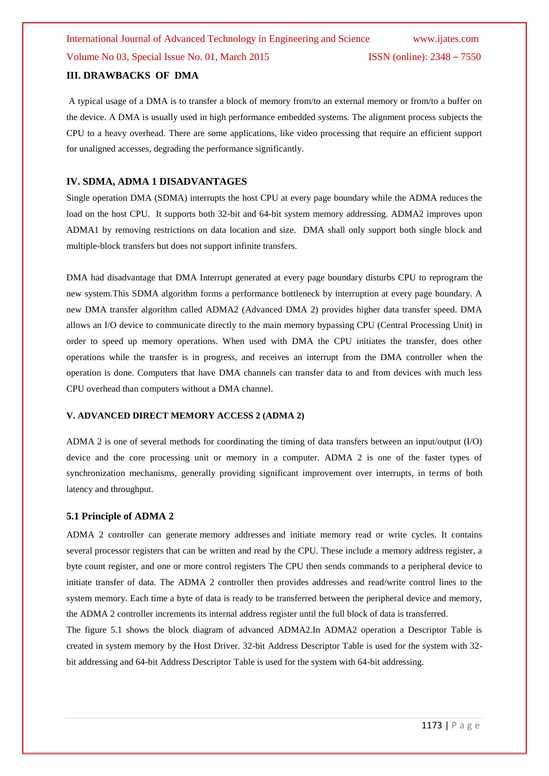#### **III. DRAWBACKS OF DMA**

A typical usage of a DMA is to transfer a block of memory from/to an external memory or from/to a buffer on the device. A DMA is usually used in high performance embedded systems. The alignment process subjects the CPU to a heavy overhead. There are some applications, like video processing that require an efficient support for unaligned accesses, degrading the performance significantly.

#### **IV. SDMA, ADMA 1 DISADVANTAGES**

Single operation DMA (SDMA) interrupts the host CPU at every page boundary while the ADMA reduces the load on the host CPU. It supports both 32-bit and 64-bit system memory addressing. ADMA2 improves upon ADMA1 by removing restrictions on data location and size. DMA shall only support both single block and multiple-block transfers but does not support infinite transfers.

DMA had disadvantage that DMA Interrupt generated at every page boundary disturbs CPU to reprogram the new system.This SDMA algorithm forms a performance bottleneck by interruption at every page boundary. A new DMA transfer algorithm called ADMA2 (Advanced DMA 2) provides higher data transfer speed. DMA allows an I/O device to communicate directly to the main memory bypassing CPU (Central Processing Unit) in order to speed up memory operations. When used with DMA the CPU initiates the transfer, does other operations while the transfer is in progress, and receives an interrupt from the DMA controller when the operation is done. Computers that have DMA channels can transfer data to and from devices with much less CPU overhead than computers without a DMA channel.

#### **V. ADVANCED DIRECT MEMORY ACCESS 2 (ADMA 2)**

ADMA 2 is one of several methods for coordinating the timing of data transfers between an input/output (I/O) device and the core processing unit or memory in a computer. ADMA 2 is one of the faster types of synchronization mechanisms, generally providing significant improvement over interrupts, in terms of both latency and throughput.

#### **5.1 Principle of ADMA 2**

ADMA 2 controller can generate [memory addresses](http://en.wikipedia.org/wiki/Memory_address) and initiate memory read or write cycles. It contains several [processor registers](http://en.wikipedia.org/wiki/Processor_register) that can be written and read by the CPU. These include a memory address register, a byte count register, and one or more control registers The CPU then sends commands to a peripheral device to initiate transfer of data. The ADMA 2 controller then provides addresses and read/write control lines to the system memory. Each time a byte of data is ready to be transferred between the peripheral device and memory, the ADMA 2 controller increments its internal address register until the full block of data is transferred.

The figure 5.1 shows the block diagram of advanced ADMA2.In ADMA2 operation a Descriptor Table is created in system memory by the Host Driver. 32-bit Address Descriptor Table is used for the system with 32 bit addressing and 64-bit Address Descriptor Table is used for the system with 64-bit addressing.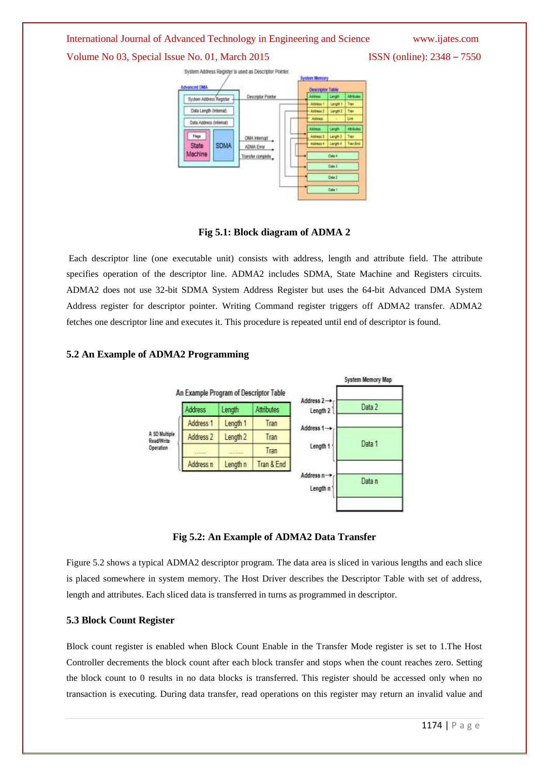#### International Journal of Advanced Technology in Engineering and Science www.ijates.com

Volume No 03, Special Issue No. 01, March 2015 **ISSN** (online): 2348 – 7550



**Fig 5.1: Block diagram of ADMA 2**

Each descriptor line (one executable unit) consists with address, length and attribute field. The attribute specifies operation of the descriptor line. ADMA2 includes SDMA, State Machine and Registers circuits. ADMA2 does not use 32-bit SDMA System Address Register but uses the 64-bit Advanced DMA System Address register for descriptor pointer. Writing Command register triggers off ADMA2 transfer. ADMA2 fetches one descriptor line and executes it. This procedure is repeated until end of descriptor is found.



#### **5.2 An Example of ADMA2 Programming**

**Fig 5.2: An Example of ADMA2 Data Transfer**

Figure 5.2 shows a typical ADMA2 descriptor program. The data area is sliced in various lengths and each slice is placed somewhere in system memory. The Host Driver describes the Descriptor Table with set of address, length and attributes. Each sliced data is transferred in turns as programmed in descriptor.

#### **5.3 Block Count Register**

Block count register is enabled when Block Count Enable in the Transfer Mode register is set to 1.The Host Controller decrements the block count after each block transfer and stops when the count reaches zero. Setting the block count to 0 results in no data blocks is transferred. This register should be accessed only when no transaction is executing. During data transfer, read operations on this register may return an invalid value and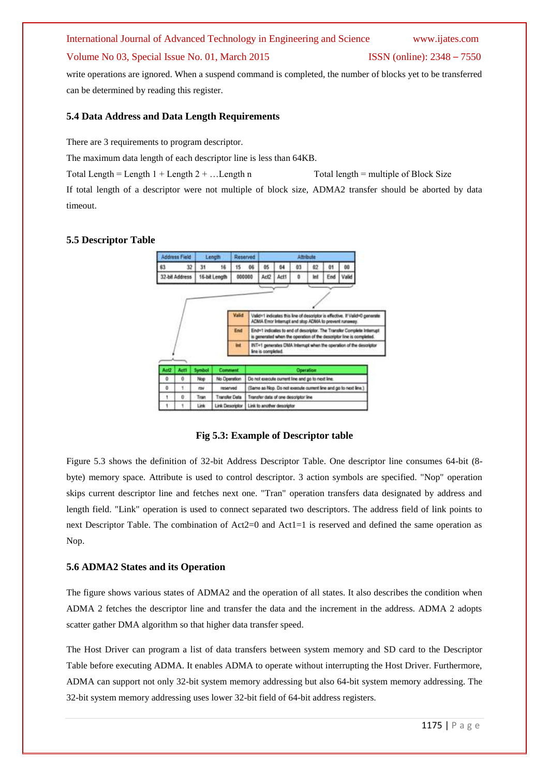# International Journal of Advanced Technology in Engineering and Science www.ijates.com

#### Volume No 03, Special Issue No. 01, March 2015 ISSN (online): 2348 – 7550

write operations are ignored. When a suspend command is completed, the number of blocks yet to be transferred can be determined by reading this register.

#### **5.4 Data Address and Data Length Requirements**

There are 3 requirements to program descriptor.

The maximum data length of each descriptor line is less than 64KB.

Total Length  $=$  Length  $1 +$  Length  $2 + ...$  Length n Total length = multiple of Block Size

If total length of a descriptor were not multiple of block size, ADMA2 transfer should be aborted by data timeout.

#### **5.5 Descriptor Table**



**Fig 5.3: Example of Descriptor table**

Figure 5.3 shows the definition of 32-bit Address Descriptor Table. One descriptor line consumes 64-bit (8 byte) memory space. Attribute is used to control descriptor. 3 action symbols are specified. "Nop" operation skips current descriptor line and fetches next one. "Tran" operation transfers data designated by address and length field. "Link" operation is used to connect separated two descriptors. The address field of link points to next Descriptor Table. The combination of Act2=0 and Act1=1 is reserved and defined the same operation as Nop.

#### **5.6 ADMA2 States and its Operation**

The figure shows various states of ADMA2 and the operation of all states. It also describes the condition when ADMA 2 fetches the descriptor line and transfer the data and the increment in the address. ADMA 2 adopts scatter gather DMA algorithm so that higher data transfer speed.

The Host Driver can program a list of data transfers between system memory and SD card to the Descriptor Table before executing ADMA. It enables ADMA to operate without interrupting the Host Driver. Furthermore, ADMA can support not only 32-bit system memory addressing but also 64-bit system memory addressing. The 32-bit system memory addressing uses lower 32-bit field of 64-bit address registers.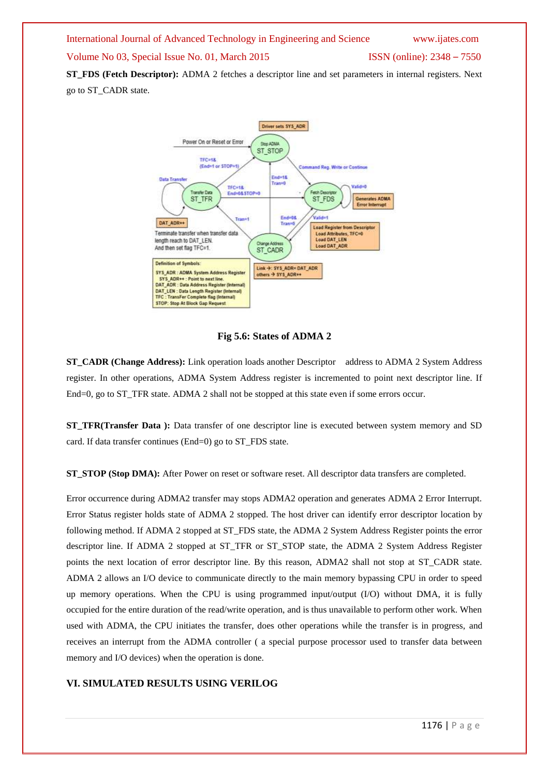International Journal of Advanced Technology in Engineering and Science www.ijates.com Volume No 03, Special Issue No. 01, March 2015 ISSN (online): 2348 – 7550 **ST\_FDS (Fetch Descriptor):** ADMA 2 fetches a descriptor line and set parameters in internal registers. Next

go to ST\_CADR state.



**Fig 5.6: States of ADMA 2**

**ST\_CADR (Change Address):** Link operation loads another Descriptor address to ADMA 2 System Address register. In other operations, ADMA System Address register is incremented to point next descriptor line. If End=0, go to ST\_TFR state. ADMA 2 shall not be stopped at this state even if some errors occur.

**ST\_TFR(Transfer Data ):** Data transfer of one descriptor line is executed between system memory and SD card. If data transfer continues (End=0) go to ST\_FDS state.

**ST\_STOP (Stop DMA):** After Power on reset or software reset. All descriptor data transfers are completed.

Error occurrence during ADMA2 transfer may stops ADMA2 operation and generates ADMA 2 Error Interrupt. Error Status register holds state of ADMA 2 stopped. The host driver can identify error descriptor location by following method. If ADMA 2 stopped at ST\_FDS state, the ADMA 2 System Address Register points the error descriptor line. If ADMA 2 stopped at ST\_TFR or ST\_STOP state, the ADMA 2 System Address Register points the next location of error descriptor line. By this reason, ADMA2 shall not stop at ST\_CADR state. ADMA 2 allows an I/O device to communicate directly to the main memory bypassing CPU in order to speed up memory operations. When the CPU is using programmed input/output (I/O) without DMA, it is fully occupied for the entire duration of the read/write operation, and is thus unavailable to perform other work. When used with ADMA, the CPU initiates the transfer, does other operations while the transfer is in progress, and receives an interrupt from the ADMA controller ( a special purpose processor used to transfer data between memory and I/O devices) when the operation is done.

#### **VI. SIMULATED RESULTS USING VERILOG**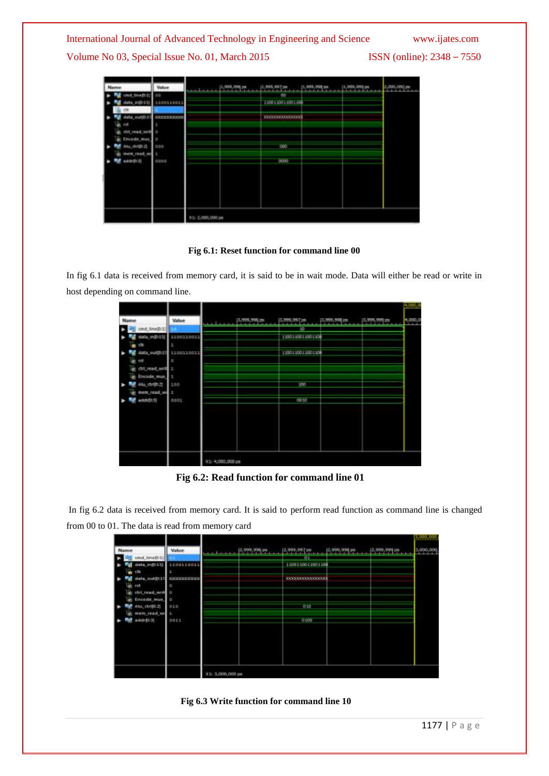| Name                                                                                                                                    | Value                                             |                   | 1,999,998 PM  1,999,997 PM  1,999,997 PM  1,999,997 PM  1,999,999 PM |  | 2,000,000 PM |
|-----------------------------------------------------------------------------------------------------------------------------------------|---------------------------------------------------|-------------------|----------------------------------------------------------------------|--|--------------|
| mit_tine(D))<br>data_in(013)<br>data_eur(0.1)<br>prof<br>clot_read_well in<br>Encade mus<br>Aila stright<br>mem_read_we<br>adidritical) | 1100110011<br>EXXXXXXXXX<br>÷<br>opo<br>в<br>0000 |                   | mo<br>1500110011001100<br>1200033000000000<br>door<br>boob           |  |              |
|                                                                                                                                         |                                                   | IC1: 2,000,000 ps |                                                                      |  |              |

#### **Fig 6.1: Reset function for command line 00**

In fig 6.1 data is received from memory card, it is said to be in wait mode. Data will either be read or write in host depending on command line.

|                 |            |                  |              |                  |              |               | $+200$  |
|-----------------|------------|------------------|--------------|------------------|--------------|---------------|---------|
| Name            | Value      |                  | 3,999,996 ps | 1,599,591,00     | 1,999,990 ps | 13,999,999 ps | 1,000,0 |
| und_line@1      |            |                  |              | 如                |              |               |         |
| data_in(0:15)   | 1100110011 |                  |              | 1100103011001100 |              |               |         |
| rth             | ÷          |                  |              |                  |              |               |         |
| data_out(0:15   | 1100110011 |                  |              | 1200110011001100 |              |               |         |
| <b>TIP</b>      | ٠          |                  |              |                  |              |               |         |
| (DI) Had with 1 |            |                  |              |                  |              |               |         |
| Encode must     | . .        |                  |              |                  |              |               |         |
| Alu drilli-2    | 1.00       |                  |              | <b>EXP</b>       |              |               |         |
| mem_read_une_1  |            |                  |              |                  |              |               |         |
| addrEt33        | DOOS       |                  |              | 0030             |              |               |         |
|                 |            |                  |              |                  |              |               |         |
|                 |            |                  |              |                  |              |               |         |
|                 |            |                  |              |                  |              |               |         |
|                 |            |                  |              |                  |              |               |         |
|                 |            |                  |              |                  |              |               |         |
|                 |            |                  |              |                  |              |               |         |
|                 |            | X1: 4,000,000 ps |              |                  |              |               |         |
|                 |            |                  |              |                  |              |               |         |

**Fig 6.2: Read function for command line 01**

In fig 6.2 data is received from memory card. It is said to perform read function as command line is changed from 00 to 01. The data is read from memory card

|                                                                                                                                                  |                                                            |                                                                    | 10000000  |
|--------------------------------------------------------------------------------------------------------------------------------------------------|------------------------------------------------------------|--------------------------------------------------------------------|-----------|
| Name                                                                                                                                             | <b>Value</b>                                               | [2,999,996 ps<br>2,599,594 ps<br>2,399,997 pm<br>2,239,936 ps<br>. | 3,000,000 |
| cmd_tine[D:1]<br>stata_in(0:15)<br>rik<br>data_butth:15<br>mt<br>strt_read_west 0<br>Encode mus.<br>Atu, ctrift-2)<br>mem read we 1<br>addr(0.3) | 1100110011<br><b>KKIOOGGASOOG</b><br>ø<br>o<br>515<br>0011 | 0.1<br>1100110011001100<br>1000000000000000<br>oш<br>0100          |           |
|                                                                                                                                                  |                                                            | (1: 3,000,000 ps                                                   |           |